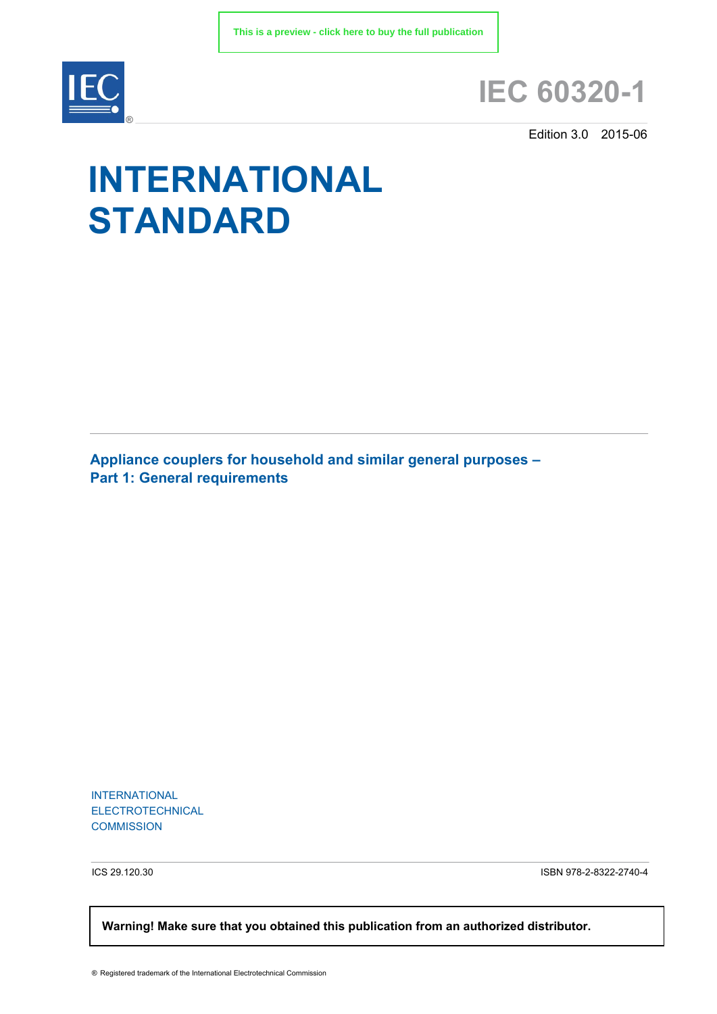

# **IEC 60320-1**

Edition 3.0 2015-06

# **INTERNATIONAL STANDARD**

**Appliance couplers for household and similar general purposes – Part 1: General requirements**

INTERNATIONAL ELECTROTECHNICAL **COMMISSION** 

ICS 29.120.30 ISBN 978-2-8322-2740-4

 **Warning! Make sure that you obtained this publication from an authorized distributor.**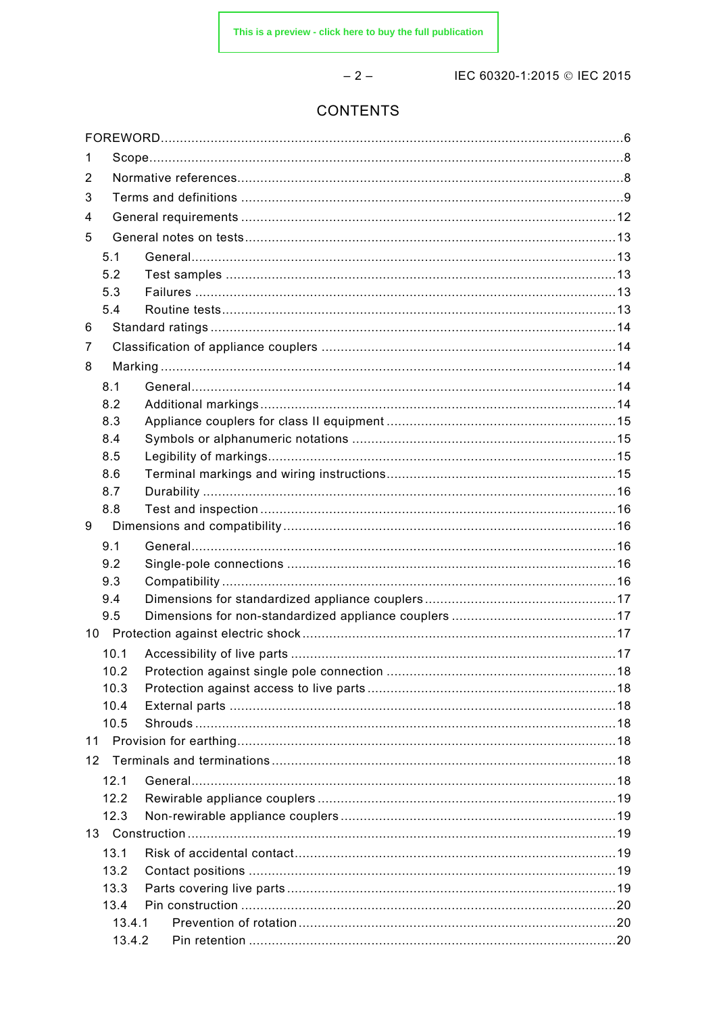$-2-$ 

IEC 60320-1:2015 © IEC 2015

# **CONTENTS**

| 1               |        |  |
|-----------------|--------|--|
| 2               |        |  |
| 3               |        |  |
| 4               |        |  |
| 5               |        |  |
| 5.1             |        |  |
| 5.2             |        |  |
| 5.3             |        |  |
| 5.4             |        |  |
| 6               |        |  |
| 7               |        |  |
| 8               |        |  |
|                 |        |  |
| 8.1<br>8.2      |        |  |
| 8.3             |        |  |
| 8.4             |        |  |
| 8.5             |        |  |
| 8.6             |        |  |
| 8.7             |        |  |
| 8.8             |        |  |
| 9               |        |  |
| 9.1             |        |  |
| 9.2             |        |  |
|                 |        |  |
| 9.3             |        |  |
| 9.4             |        |  |
| 9.5             |        |  |
|                 |        |  |
| 10.1            |        |  |
| 10.2            |        |  |
| 10.3            |        |  |
| 10.4            |        |  |
| 10.5            |        |  |
| 11              |        |  |
| 12 <sup>2</sup> |        |  |
| 12.1            |        |  |
| 12.2            |        |  |
| 12.3            |        |  |
|                 |        |  |
| 13.1            |        |  |
| 13.2            |        |  |
| 13.3            |        |  |
| 13.4            |        |  |
|                 | 13.4.1 |  |
|                 | 13.4.2 |  |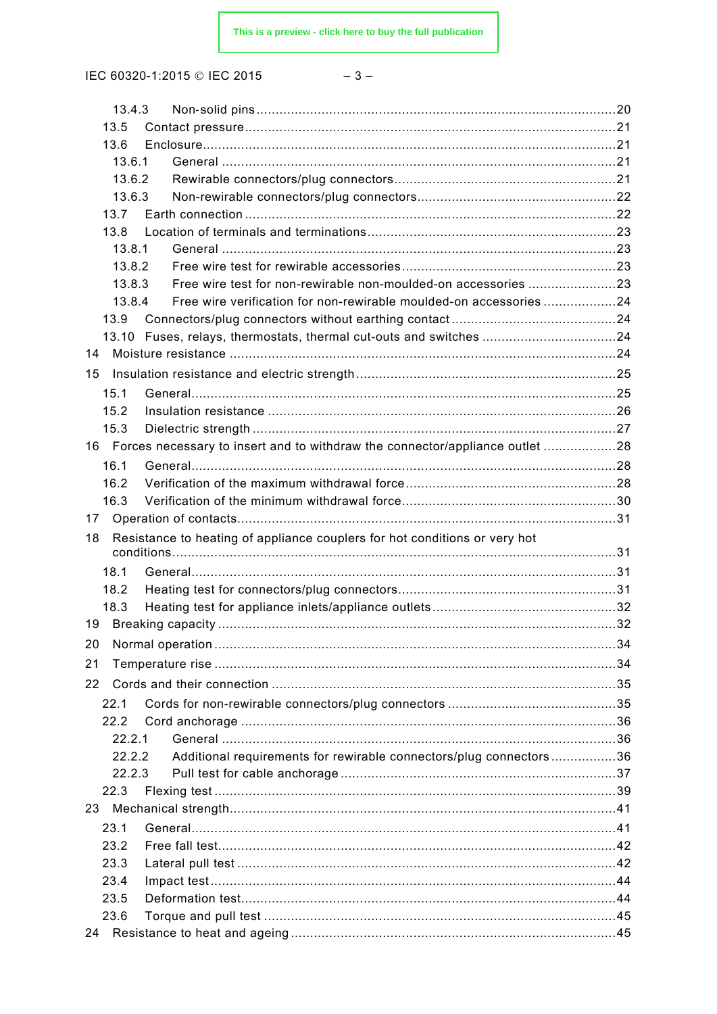| ×<br>I<br>×<br>w |
|------------------|
|------------------|

|    | 13.4.3           |                                                                                 |  |
|----|------------------|---------------------------------------------------------------------------------|--|
|    | 13.5             |                                                                                 |  |
|    | 13.6             |                                                                                 |  |
|    | 13.6.1           |                                                                                 |  |
|    | 13.6.2           |                                                                                 |  |
|    | 13.6.3           |                                                                                 |  |
|    | 13.7             |                                                                                 |  |
|    | 13.8             |                                                                                 |  |
|    | 13.8.1<br>13.8.2 |                                                                                 |  |
|    | 13.8.3           | Free wire test for non-rewirable non-moulded-on accessories 23                  |  |
|    | 13.8.4           | Free wire verification for non-rewirable moulded-on accessories 24              |  |
|    | 13.9             |                                                                                 |  |
|    |                  | 13.10 Fuses, relays, thermostats, thermal cut-outs and switches 24              |  |
| 14 |                  |                                                                                 |  |
| 15 |                  |                                                                                 |  |
|    | 15.1             |                                                                                 |  |
|    | 15.2             |                                                                                 |  |
|    | 15.3             |                                                                                 |  |
|    |                  | 16 Forces necessary to insert and to withdraw the connector/appliance outlet 28 |  |
|    | 16.1             |                                                                                 |  |
|    | 16.2             |                                                                                 |  |
|    | 16.3             |                                                                                 |  |
| 17 |                  |                                                                                 |  |
| 18 |                  | Resistance to heating of appliance couplers for hot conditions or very hot      |  |
|    |                  |                                                                                 |  |
|    | 18.1             |                                                                                 |  |
|    | 18.2             |                                                                                 |  |
|    | 18.3             |                                                                                 |  |
|    |                  |                                                                                 |  |
| 20 |                  |                                                                                 |  |
| 21 |                  |                                                                                 |  |
| 22 |                  |                                                                                 |  |
|    |                  |                                                                                 |  |
|    | 22.1<br>22.2     |                                                                                 |  |
|    | 22.2.1           |                                                                                 |  |
|    | 22.2.2           | Additional requirements for rewirable connectors/plug connectors 36             |  |
|    | 22.2.3           |                                                                                 |  |
|    | 22.3             |                                                                                 |  |
| 23 |                  |                                                                                 |  |
|    | 23.1             |                                                                                 |  |
|    | 23.2             |                                                                                 |  |
|    | 23.3             |                                                                                 |  |
|    | 23.4             |                                                                                 |  |
|    | 23.5             |                                                                                 |  |
|    | 23.6             |                                                                                 |  |
| 24 |                  |                                                                                 |  |
|    |                  |                                                                                 |  |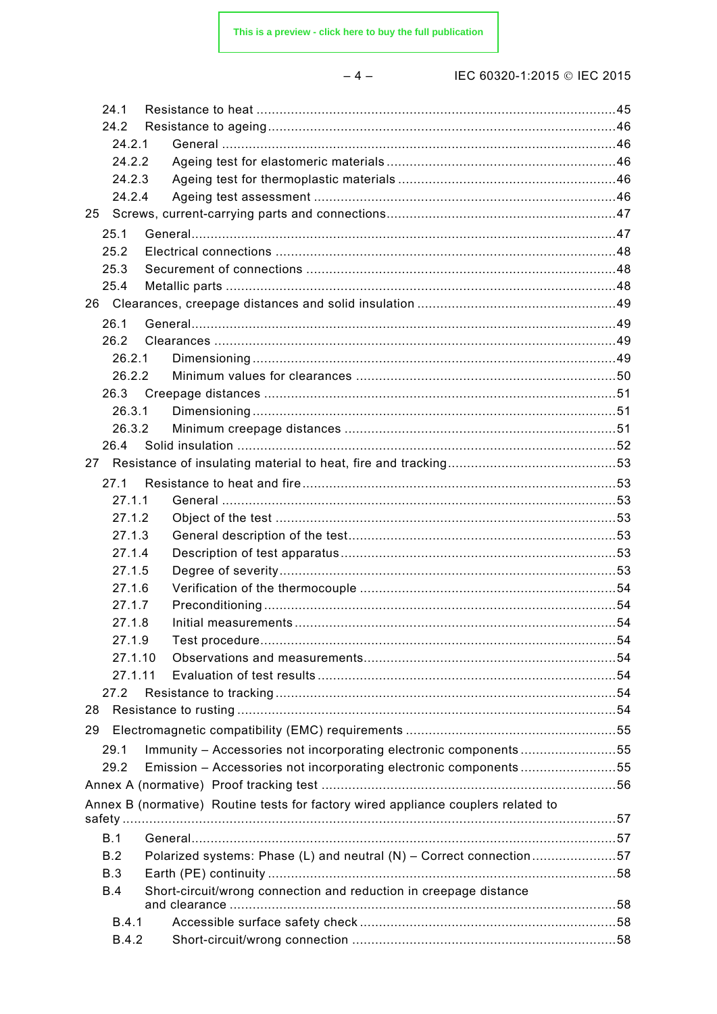|--|--|

| 24.1         |                                                                                   |  |
|--------------|-----------------------------------------------------------------------------------|--|
| 24.2         |                                                                                   |  |
| 24.2.1       |                                                                                   |  |
| 24.2.2       |                                                                                   |  |
| 24.2.3       |                                                                                   |  |
| 24.2.4       |                                                                                   |  |
| 25           |                                                                                   |  |
| 25.1         |                                                                                   |  |
| 25.2         |                                                                                   |  |
| 25.3         |                                                                                   |  |
| 25.4         |                                                                                   |  |
|              |                                                                                   |  |
| 26.1         |                                                                                   |  |
| 26.2         |                                                                                   |  |
| 26.2.1       |                                                                                   |  |
| 26.2.2       |                                                                                   |  |
| 26.3         |                                                                                   |  |
| 26.3.1       |                                                                                   |  |
| 26.3.2       |                                                                                   |  |
| 26.4         |                                                                                   |  |
|              |                                                                                   |  |
| 27.1         |                                                                                   |  |
| 27.1.1       |                                                                                   |  |
| 27.1.2       |                                                                                   |  |
| 27.1.3       |                                                                                   |  |
| 27.1.4       |                                                                                   |  |
| 27.1.5       |                                                                                   |  |
| 27.1.6       |                                                                                   |  |
| 27.1.7       |                                                                                   |  |
| 27.1.8       |                                                                                   |  |
| 2719         | . 54                                                                              |  |
| 27.1.10      |                                                                                   |  |
| 27.1.11      |                                                                                   |  |
| 27.2         |                                                                                   |  |
| 28           |                                                                                   |  |
| 29           |                                                                                   |  |
| 29.1         | Immunity - Accessories not incorporating electronic components55                  |  |
| 29.2         | Emission - Accessories not incorporating electronic components55                  |  |
|              |                                                                                   |  |
|              | Annex B (normative) Routine tests for factory wired appliance couplers related to |  |
|              |                                                                                   |  |
| B.1          |                                                                                   |  |
| B.2          | Polarized systems: Phase (L) and neutral (N) - Correct connection57               |  |
| <b>B.3</b>   |                                                                                   |  |
| <b>B.4</b>   | Short-circuit/wrong connection and reduction in creepage distance                 |  |
|              |                                                                                   |  |
| B.4.1        |                                                                                   |  |
| <b>B.4.2</b> |                                                                                   |  |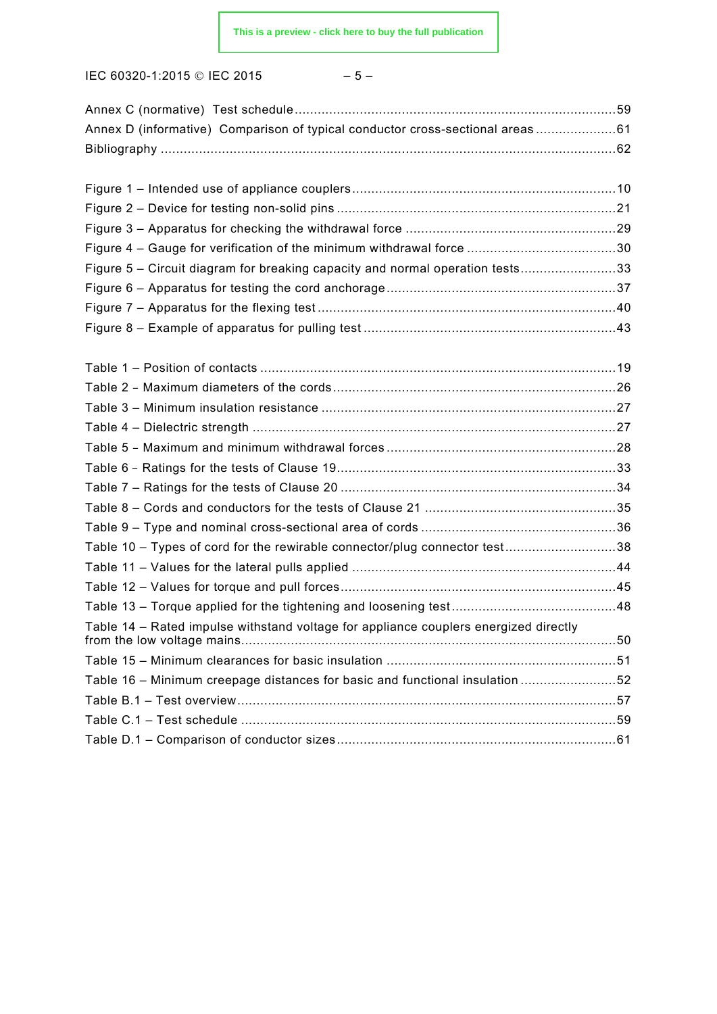$$
-\;5\;-\;
$$

| Annex D (informative) Comparison of typical conductor cross-sectional areas 61       |  |
|--------------------------------------------------------------------------------------|--|
|                                                                                      |  |
|                                                                                      |  |
|                                                                                      |  |
|                                                                                      |  |
|                                                                                      |  |
|                                                                                      |  |
| Figure 5 – Circuit diagram for breaking capacity and normal operation tests33        |  |
|                                                                                      |  |
|                                                                                      |  |
|                                                                                      |  |
|                                                                                      |  |
|                                                                                      |  |
|                                                                                      |  |
|                                                                                      |  |
|                                                                                      |  |
|                                                                                      |  |
|                                                                                      |  |
|                                                                                      |  |
|                                                                                      |  |
|                                                                                      |  |
| Table 10 - Types of cord for the rewirable connector/plug connector test38           |  |
|                                                                                      |  |
|                                                                                      |  |
|                                                                                      |  |
| Table 14 - Rated impulse withstand voltage for appliance couplers energized directly |  |
|                                                                                      |  |
| Table 16 - Minimum creepage distances for basic and functional insulation 52         |  |
|                                                                                      |  |
|                                                                                      |  |
|                                                                                      |  |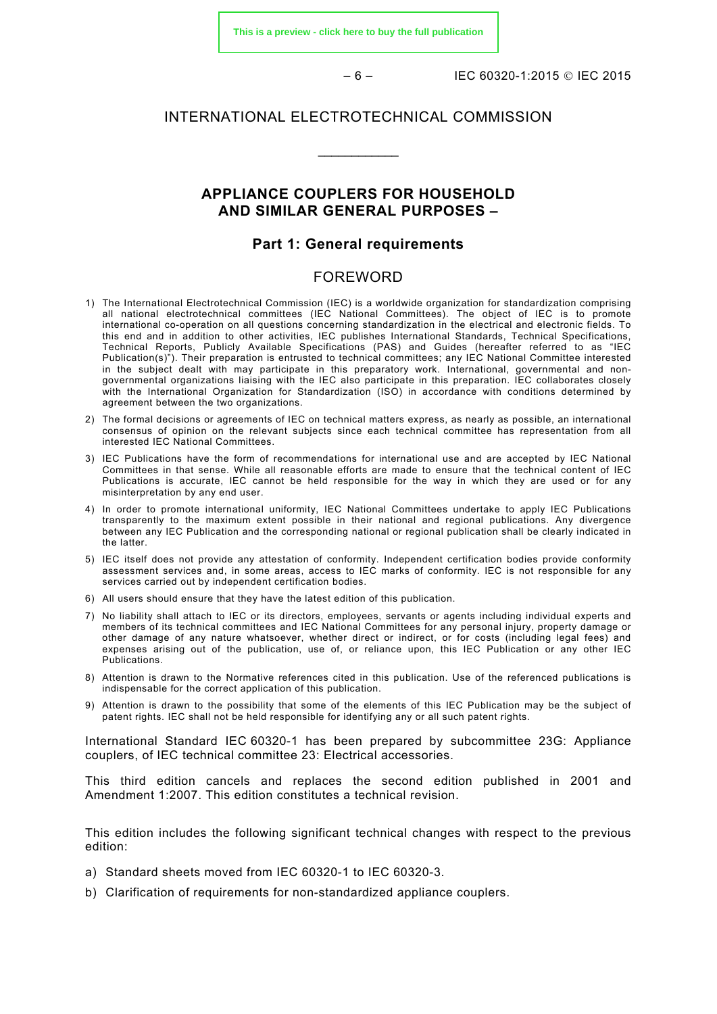**[This is a preview - click here to buy the full publication](https://webstore.iec.ch/publication/22762&preview)**

– 6 – IEC 60320-1:2015 IEC 2015

#### INTERNATIONAL ELECTROTECHNICAL COMMISSION

 $\overline{\phantom{a}}$ 

## **APPLIANCE COUPLERS FOR HOUSEHOLD AND SIMILAR GENERAL PURPOSES –**

#### **Part 1: General requirements**

#### FOREWORD

- <span id="page-5-0"></span>1) The International Electrotechnical Commission (IEC) is a worldwide organization for standardization comprising all national electrotechnical committees (IEC National Committees). The object of IEC is to promote international co-operation on all questions concerning standardization in the electrical and electronic fields. To this end and in addition to other activities, IEC publishes International Standards, Technical Specifications, Technical Reports, Publicly Available Specifications (PAS) and Guides (hereafter referred to as "IEC Publication(s)"). Their preparation is entrusted to technical committees; any IEC National Committee interested in the subject dealt with may participate in this preparatory work. International, governmental and nongovernmental organizations liaising with the IEC also participate in this preparation. IEC collaborates closely with the International Organization for Standardization (ISO) in accordance with conditions determined by agreement between the two organizations.
- 2) The formal decisions or agreements of IEC on technical matters express, as nearly as possible, an international consensus of opinion on the relevant subjects since each technical committee has representation from all interested IEC National Committees.
- 3) IEC Publications have the form of recommendations for international use and are accepted by IEC National Committees in that sense. While all reasonable efforts are made to ensure that the technical content of IEC Publications is accurate, IEC cannot be held responsible for the way in which they are used or for any misinterpretation by any end user.
- 4) In order to promote international uniformity, IEC National Committees undertake to apply IEC Publications transparently to the maximum extent possible in their national and regional publications. Any divergence between any IEC Publication and the corresponding national or regional publication shall be clearly indicated in the latter.
- 5) IEC itself does not provide any attestation of conformity. Independent certification bodies provide conformity assessment services and, in some areas, access to IEC marks of conformity. IEC is not responsible for any services carried out by independent certification bodies.
- 6) All users should ensure that they have the latest edition of this publication.
- 7) No liability shall attach to IEC or its directors, employees, servants or agents including individual experts and members of its technical committees and IEC National Committees for any personal injury, property damage or other damage of any nature whatsoever, whether direct or indirect, or for costs (including legal fees) and expenses arising out of the publication, use of, or reliance upon, this IEC Publication or any other IEC Publications.
- 8) Attention is drawn to the Normative references cited in this publication. Use of the referenced publications is indispensable for the correct application of this publication.
- 9) Attention is drawn to the possibility that some of the elements of this IEC Publication may be the subject of patent rights. IEC shall not be held responsible for identifying any or all such patent rights.

International Standard IEC 60320-1 has been prepared by subcommittee 23G: Appliance couplers, of IEC technical committee 23: Electrical accessories.

This third edition cancels and replaces the second edition published in 2001 and Amendment 1:2007. This edition constitutes a technical revision.

This edition includes the following significant technical changes with respect to the previous edition:

- a) Standard sheets moved from IEC 60320-1 to IEC 60320-3.
- b) Clarification of requirements for non-standardized appliance couplers.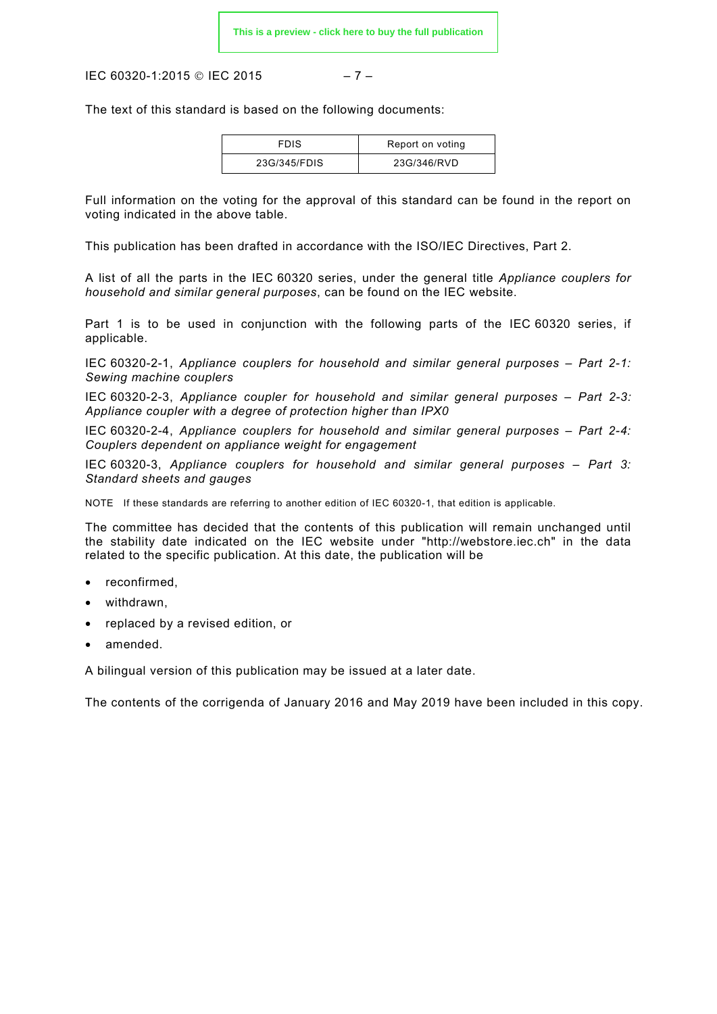IEC 60320-1:2015 © IEC 2015 – 7 –

The text of this standard is based on the following documents:

| <b>FDIS</b>  | Report on voting |
|--------------|------------------|
| 23G/345/FDIS | 23G/346/RVD      |

Full information on the voting for the approval of this standard can be found in the report on voting indicated in the above table.

This publication has been drafted in accordance with the ISO/IEC Directives, Part 2.

A list of all the parts in the IEC 60320 series, under the general title *Appliance couplers for household and similar general purposes*, can be found on the IEC website.

Part 1 is to be used in conjunction with the following parts of the IEC 60320 series, if applicable.

IEC 60320-2-1, *Appliance couplers for household and similar general purposes – Part 2-1: Sewing machine couplers* 

IEC 60320-2-3, *Appliance coupler for household and similar general purposes – Part 2-3: Appliance coupler with a degree of protection higher than IPX0* 

IEC 60320-2-4, *Appliance couplers for household and similar general purposes – Part 2-4: Couplers dependent on appliance weight for engagement* 

IEC 60320-3, *Appliance couplers for household and similar general purposes – Part 3: Standard sheets and gauges* 

NOTE If these standards are referring to another edition of IEC 60320-1, that edition is applicable.

The committee has decided that the contents of this publication will remain unchanged until the stability date indicated on the IEC website under "http://webstore.iec.ch" in the data related to the specific publication. At this date, the publication will be

- reconfirmed,
- withdrawn.
- replaced by a revised edition, or
- amended.

A bilingual version of this publication may be issued at a later date.

The contents of the corrigenda of January 2016 and May 2019 have been included in this copy.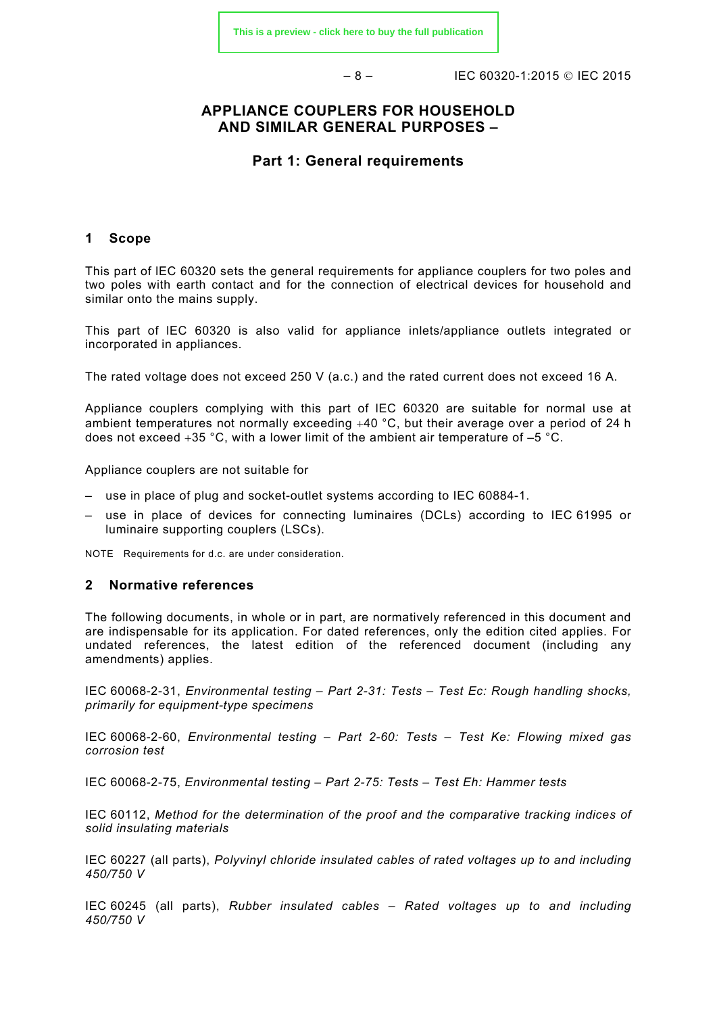$-8 - 15$  IFC 60320-1:2015 © IFC 2015

## **APPLIANCE COUPLERS FOR HOUSEHOLD AND SIMILAR GENERAL PURPOSES –**

#### **Part 1: General requirements**

#### <span id="page-7-0"></span>**1 Scope**

This part of lEC 60320 sets the general requirements for appliance couplers for two poles and two poles with earth contact and for the connection of electrical devices for household and similar onto the mains supply.

This part of lEC 60320 is also valid for appliance inlets/appliance outlets integrated or incorporated in appliances.

The rated voltage does not exceed 250 V (a.c.) and the rated current does not exceed 16 A.

Appliance couplers complying with this part of lEC 60320 are suitable for normal use at ambient temperatures not normally exceeding +40 °C, but their average over a period of 24 h does not exceed  $+35$  °C, with a lower limit of the ambient air temperature of  $-5$  °C.

Appliance couplers are not suitable for

- use in place of plug and socket-outlet systems according to IEC 60884-1.
- use in place of devices for connecting luminaires (DCLs) according to IEC 61995 or luminaire supporting couplers (LSCs).

NOTE Requirements for d.c. are under consideration.

#### <span id="page-7-1"></span>**2 Normative references**

The following documents, in whole or in part, are normatively referenced in this document and are indispensable for its application. For dated references, only the edition cited applies. For undated references, the latest edition of the referenced document (including any amendments) applies.

IEC 60068-2-31, *Environmental testing – Part 2-31: Tests – Test Ec: Rough handling shocks, primarily for equipment-type specimens*

IEC 60068-2-60, *Environmental testing – Part 2-60: Tests – Test Ke: Flowing mixed gas corrosion test*

IEC 60068-2-75, *Environmental testing – Part 2-75: Tests – Test Eh: Hammer tests*

IEC 60112, *Method for the determination of the proof and the comparative tracking indices of solid insulating materials*

IEC 60227 (all parts), *Polyvinyl chloride insulated cables of rated voltages up to and including 450/750 V*

IEC 60245 (all parts), *Rubber insulated cables – Rated voltages up to and including 450/750 V*